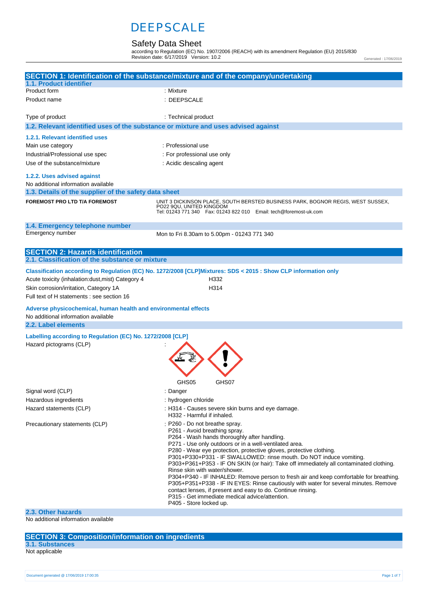### Safety Data Sheet

according to Regulation (EC) No. 1907/2006 (REACH) with its amendment Regulation (EU) 2015/830 Revision date: 6/17/2019 Version: 10.2

Generated : 17/06/2019

|                                                                                                        | SECTION 1: Identification of the substance/mixture and of the company/undertaking                                                                                                                                                                                                                                                                                                                                                                                                                                                                                                                                                                                                                                                                                                 |
|--------------------------------------------------------------------------------------------------------|-----------------------------------------------------------------------------------------------------------------------------------------------------------------------------------------------------------------------------------------------------------------------------------------------------------------------------------------------------------------------------------------------------------------------------------------------------------------------------------------------------------------------------------------------------------------------------------------------------------------------------------------------------------------------------------------------------------------------------------------------------------------------------------|
| 1.1. Product identifier<br>Product form                                                                | : Mixture                                                                                                                                                                                                                                                                                                                                                                                                                                                                                                                                                                                                                                                                                                                                                                         |
| Product name                                                                                           | : DEEPSCALE                                                                                                                                                                                                                                                                                                                                                                                                                                                                                                                                                                                                                                                                                                                                                                       |
|                                                                                                        |                                                                                                                                                                                                                                                                                                                                                                                                                                                                                                                                                                                                                                                                                                                                                                                   |
| Type of product                                                                                        | : Technical product                                                                                                                                                                                                                                                                                                                                                                                                                                                                                                                                                                                                                                                                                                                                                               |
| 1.2. Relevant identified uses of the substance or mixture and uses advised against                     |                                                                                                                                                                                                                                                                                                                                                                                                                                                                                                                                                                                                                                                                                                                                                                                   |
| 1.2.1. Relevant identified uses                                                                        |                                                                                                                                                                                                                                                                                                                                                                                                                                                                                                                                                                                                                                                                                                                                                                                   |
| Main use category                                                                                      | : Professional use                                                                                                                                                                                                                                                                                                                                                                                                                                                                                                                                                                                                                                                                                                                                                                |
| Industrial/Professional use spec                                                                       | : For professional use only                                                                                                                                                                                                                                                                                                                                                                                                                                                                                                                                                                                                                                                                                                                                                       |
| Use of the substance/mixture                                                                           | : Acidic descaling agent                                                                                                                                                                                                                                                                                                                                                                                                                                                                                                                                                                                                                                                                                                                                                          |
| 1.2.2. Uses advised against<br>No additional information available                                     |                                                                                                                                                                                                                                                                                                                                                                                                                                                                                                                                                                                                                                                                                                                                                                                   |
| 1.3. Details of the supplier of the safety data sheet                                                  |                                                                                                                                                                                                                                                                                                                                                                                                                                                                                                                                                                                                                                                                                                                                                                                   |
| <b>FOREMOST PRO LTD T/A FOREMOST</b>                                                                   | UNIT 3 DICKINSON PLACE, SOUTH BERSTED BUSINESS PARK, BOGNOR REGIS, WEST SUSSEX,<br>PO22 9QU, UNITED KINGDOM<br>Tel: 01243 771 340    Fax: 01243 822 010    Email: tech@foremost-uk.com                                                                                                                                                                                                                                                                                                                                                                                                                                                                                                                                                                                            |
| 1.4. Emergency telephone number                                                                        |                                                                                                                                                                                                                                                                                                                                                                                                                                                                                                                                                                                                                                                                                                                                                                                   |
| Emergency number                                                                                       | Mon to Fri 8.30am to 5.00pm - 01243 771 340                                                                                                                                                                                                                                                                                                                                                                                                                                                                                                                                                                                                                                                                                                                                       |
|                                                                                                        |                                                                                                                                                                                                                                                                                                                                                                                                                                                                                                                                                                                                                                                                                                                                                                                   |
| <b>SECTION 2: Hazards identification</b>                                                               |                                                                                                                                                                                                                                                                                                                                                                                                                                                                                                                                                                                                                                                                                                                                                                                   |
| 2.1. Classification of the substance or mixture                                                        |                                                                                                                                                                                                                                                                                                                                                                                                                                                                                                                                                                                                                                                                                                                                                                                   |
|                                                                                                        | Classification according to Regulation (EC) No. 1272/2008 [CLP]Mixtures: SDS < 2015 : Show CLP information only                                                                                                                                                                                                                                                                                                                                                                                                                                                                                                                                                                                                                                                                   |
| Acute toxicity (inhalation:dust, mist) Category 4                                                      | H332                                                                                                                                                                                                                                                                                                                                                                                                                                                                                                                                                                                                                                                                                                                                                                              |
| Skin corrosion/irritation, Category 1A                                                                 | H314                                                                                                                                                                                                                                                                                                                                                                                                                                                                                                                                                                                                                                                                                                                                                                              |
| Full text of H statements : see section 16                                                             |                                                                                                                                                                                                                                                                                                                                                                                                                                                                                                                                                                                                                                                                                                                                                                                   |
| Adverse physicochemical, human health and environmental effects<br>No additional information available |                                                                                                                                                                                                                                                                                                                                                                                                                                                                                                                                                                                                                                                                                                                                                                                   |
| 2.2. Label elements                                                                                    |                                                                                                                                                                                                                                                                                                                                                                                                                                                                                                                                                                                                                                                                                                                                                                                   |
| Labelling according to Regulation (EC) No. 1272/2008 [CLP]<br>Hazard pictograms (CLP)                  | GHS05<br>GHS07                                                                                                                                                                                                                                                                                                                                                                                                                                                                                                                                                                                                                                                                                                                                                                    |
| Signal word (CLP)                                                                                      | : Danger                                                                                                                                                                                                                                                                                                                                                                                                                                                                                                                                                                                                                                                                                                                                                                          |
| Hazardous ingredients                                                                                  | : hydrogen chloride                                                                                                                                                                                                                                                                                                                                                                                                                                                                                                                                                                                                                                                                                                                                                               |
| Hazard statements (CLP)                                                                                | : H314 - Causes severe skin burns and eye damage.<br>H332 - Harmful if inhaled.                                                                                                                                                                                                                                                                                                                                                                                                                                                                                                                                                                                                                                                                                                   |
| Precautionary statements (CLP)                                                                         | : P260 - Do not breathe spray.<br>P261 - Avoid breathing spray.<br>P264 - Wash hands thoroughly after handling.<br>P271 - Use only outdoors or in a well-ventilated area.<br>P280 - Wear eye protection, protective gloves, protective clothing.<br>P301+P330+P331 - IF SWALLOWED: rinse mouth. Do NOT induce vomiting.<br>P303+P361+P353 - IF ON SKIN (or hair): Take off immediately all contaminated clothing.<br>Rinse skin with water/shower.<br>P304+P340 - IF INHALED: Remove person to fresh air and keep comfortable for breathing.<br>P305+P351+P338 - IF IN EYES: Rinse cautiously with water for several minutes. Remove<br>contact lenses, if present and easy to do. Continue rinsing.<br>P315 - Get immediate medical advice/attention.<br>P405 - Store locked up. |
|                                                                                                        |                                                                                                                                                                                                                                                                                                                                                                                                                                                                                                                                                                                                                                                                                                                                                                                   |

#### **2.3. Other hazards**

No additional information available

### **SECTION 3: Composition/information on ingredients**

#### **3.1. Substances** Not applicable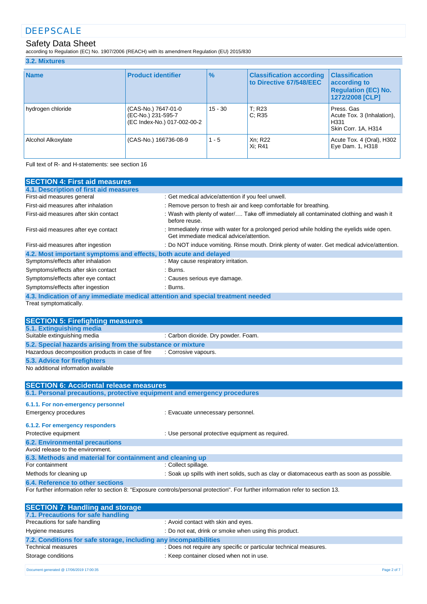### Safety Data Sheet

according to Regulation (EC) No. 1907/2006 (REACH) with its amendment Regulation (EU) 2015/830

#### **3.2. Mixtures**

| <b>Name</b>        | <b>Product identifier</b>                                                | $\frac{9}{6}$ | <b>Classification according</b><br>to Directive 67/548/EEC | <b>Classification</b><br>according to<br><b>Regulation (EC) No.</b><br>1272/2008 [CLP] |
|--------------------|--------------------------------------------------------------------------|---------------|------------------------------------------------------------|----------------------------------------------------------------------------------------|
| hydrogen chloride  | (CAS-No.) 7647-01-0<br>(EC-No.) 231-595-7<br>(EC Index-No.) 017-002-00-2 | $15 - 30$     | T: R23<br>C: R35                                           | Press, Gas<br>Acute Tox. 3 (Inhalation),<br>H <sub>331</sub><br>Skin Corr. 1A, H314    |
| Alcohol Alkoxylate | (CAS-No.) 166736-08-9                                                    | $1 - 5$       | Xn; R22<br>Xi: R41                                         | Acute Tox. 4 (Oral), H302<br>Eye Dam. 1, H318                                          |

Full text of R- and H-statements: see section 16

| <b>SECTION 4: First aid measures</b>                                                                           |                                                                                                                                       |
|----------------------------------------------------------------------------------------------------------------|---------------------------------------------------------------------------------------------------------------------------------------|
| 4.1. Description of first aid measures                                                                         |                                                                                                                                       |
| First-aid measures general                                                                                     | : Get medical advice/attention if you feel unwell.                                                                                    |
| First-aid measures after inhalation                                                                            | : Remove person to fresh air and keep comfortable for breathing.                                                                      |
| First-aid measures after skin contact                                                                          | : Wash with plenty of water/ Take off immediately all contaminated clothing and wash it<br>before reuse.                              |
| First-aid measures after eye contact                                                                           | : Immediately rinse with water for a prolonged period while holding the eyelids wide open.<br>Get immediate medical advice/attention. |
| First-aid measures after ingestion                                                                             | : Do NOT induce vomiting. Rinse mouth. Drink plenty of water. Get medical advice/attention.                                           |
| 4.2. Most important symptoms and effects, both acute and delayed                                               |                                                                                                                                       |
| Symptoms/effects after inhalation                                                                              | : May cause respiratory irritation.                                                                                                   |
| Symptoms/effects after skin contact                                                                            | : Burns.                                                                                                                              |
| Symptoms/effects after eye contact                                                                             | : Causes serious eye damage.                                                                                                          |
| Symptoms/effects after ingestion                                                                               | :Burns.                                                                                                                               |
| 4.3. Indication of any immediate medical attention and special treatment needed                                |                                                                                                                                       |
| Treat symptomatically.                                                                                         |                                                                                                                                       |
|                                                                                                                |                                                                                                                                       |
| <b>SECTION 5: Firefighting measures</b>                                                                        |                                                                                                                                       |
| 5.1. Extinguishing media<br>Suitable extinguishing media                                                       | : Carbon dioxide. Dry powder. Foam.                                                                                                   |
|                                                                                                                |                                                                                                                                       |
| 5.2. Special hazards arising from the substance or mixture<br>Hazardous decomposition products in case of fire | : Corrosive vapours.                                                                                                                  |
|                                                                                                                |                                                                                                                                       |
| 5.3. Advice for firefighters<br>No additional information available                                            |                                                                                                                                       |
|                                                                                                                |                                                                                                                                       |
| <b>SECTION 6: Accidental release measures</b>                                                                  |                                                                                                                                       |
| 6.1. Personal precautions, protective equipment and emergency procedures                                       |                                                                                                                                       |
| 6.1.1. For non-emergency personnel                                                                             |                                                                                                                                       |
| <b>Emergency procedures</b>                                                                                    | : Evacuate unnecessary personnel.                                                                                                     |
|                                                                                                                |                                                                                                                                       |
| 6.1.2. For emergency responders                                                                                |                                                                                                                                       |
| Protective equipment                                                                                           | : Use personal protective equipment as required.                                                                                      |
| <b>6.2. Environmental precautions</b>                                                                          |                                                                                                                                       |
| Avoid release to the environment.                                                                              |                                                                                                                                       |
| 6.3. Methods and material for containment and cleaning up                                                      |                                                                                                                                       |
| For containment                                                                                                | : Collect spillage.                                                                                                                   |
| Methods for cleaning up                                                                                        | : Soak up spills with inert solids, such as clay or diatomaceous earth as soon as possible.                                           |
| 6.4. Reference to other sections                                                                               |                                                                                                                                       |
|                                                                                                                | For further information refer to section 8: "Exposure controls/personal protection". For further information refer to section 13.     |
| <b>SECTION 7: Handling and storage</b>                                                                         |                                                                                                                                       |
| 7.1. Precautions for safe handling                                                                             |                                                                                                                                       |
| Precautions for safe handling                                                                                  | : Avoid contact with skin and eyes.                                                                                                   |
| Hygiene measures                                                                                               | : Do not eat, drink or smoke when using this product.                                                                                 |
| 7.2. Conditions for safe storage, including any incompatibilities                                              |                                                                                                                                       |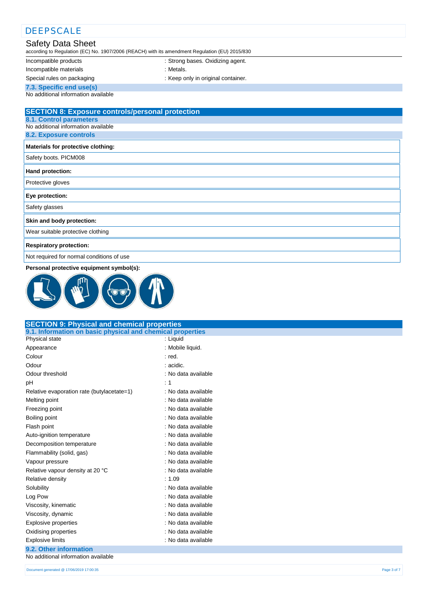# **.** DEEPSCALE Safety Data Sheet

according to Regulation (EC) No. 1907/2006 (REACH) with its amendment Regulation (EU) 2015/830

Incompatible products : Strong bases. Oxidizing agent.

Incompatible materials **incompatible** materials

Special rules on packaging **interpretate in the Container** : Keep only in original container.

**7.3. Specific end use(s)**

No additional information available

### **SECTION 8: Exposure controls/personal protection 8.1. Control parameters** No additional information available **8.2. Exposure controls Materials for protective clothing:** Safety boots. PICM008 **Hand protection:** Protective gloves **Eye protection:** Safety glasses **Skin and body protection:** Wear suitable protective clothing **Respiratory protection:** Not required for normal conditions of use

**Personal protective equipment symbol(s):**



| 9.1. Information on basic physical and chemical properties<br>Physical state<br>: Liquid<br>: Mobile liquid.<br>Appearance<br>Colour<br>$:$ red.<br>Odour<br>: acidic.<br>Odour threshold<br>: No data available<br>pH<br>: 1<br>: No data available<br>Relative evaporation rate (butylacetate=1)<br>Melting point<br>: No data available<br>Freezing point<br>: No data available<br>: No data available<br>Boiling point<br>Flash point<br>: No data available |
|-------------------------------------------------------------------------------------------------------------------------------------------------------------------------------------------------------------------------------------------------------------------------------------------------------------------------------------------------------------------------------------------------------------------------------------------------------------------|
|                                                                                                                                                                                                                                                                                                                                                                                                                                                                   |
|                                                                                                                                                                                                                                                                                                                                                                                                                                                                   |
|                                                                                                                                                                                                                                                                                                                                                                                                                                                                   |
|                                                                                                                                                                                                                                                                                                                                                                                                                                                                   |
|                                                                                                                                                                                                                                                                                                                                                                                                                                                                   |
|                                                                                                                                                                                                                                                                                                                                                                                                                                                                   |
|                                                                                                                                                                                                                                                                                                                                                                                                                                                                   |
|                                                                                                                                                                                                                                                                                                                                                                                                                                                                   |
|                                                                                                                                                                                                                                                                                                                                                                                                                                                                   |
|                                                                                                                                                                                                                                                                                                                                                                                                                                                                   |
|                                                                                                                                                                                                                                                                                                                                                                                                                                                                   |
|                                                                                                                                                                                                                                                                                                                                                                                                                                                                   |
| : No data available<br>Auto-ignition temperature                                                                                                                                                                                                                                                                                                                                                                                                                  |
| : No data available<br>Decomposition temperature                                                                                                                                                                                                                                                                                                                                                                                                                  |
| Flammability (solid, gas)<br>: No data available                                                                                                                                                                                                                                                                                                                                                                                                                  |
| : No data available<br>Vapour pressure                                                                                                                                                                                                                                                                                                                                                                                                                            |
| Relative vapour density at 20 °C<br>: No data available                                                                                                                                                                                                                                                                                                                                                                                                           |
| Relative density<br>: 1.09                                                                                                                                                                                                                                                                                                                                                                                                                                        |
| : No data available<br>Solubility                                                                                                                                                                                                                                                                                                                                                                                                                                 |
| Log Pow<br>: No data available                                                                                                                                                                                                                                                                                                                                                                                                                                    |
| : No data available<br>Viscosity, kinematic                                                                                                                                                                                                                                                                                                                                                                                                                       |
| Viscosity, dynamic<br>: No data available                                                                                                                                                                                                                                                                                                                                                                                                                         |
| Explosive properties<br>: No data available                                                                                                                                                                                                                                                                                                                                                                                                                       |
| : No data available<br>Oxidising properties                                                                                                                                                                                                                                                                                                                                                                                                                       |
| <b>Explosive limits</b><br>: No data available                                                                                                                                                                                                                                                                                                                                                                                                                    |
| 9.2. Other information                                                                                                                                                                                                                                                                                                                                                                                                                                            |
| No additional information available                                                                                                                                                                                                                                                                                                                                                                                                                               |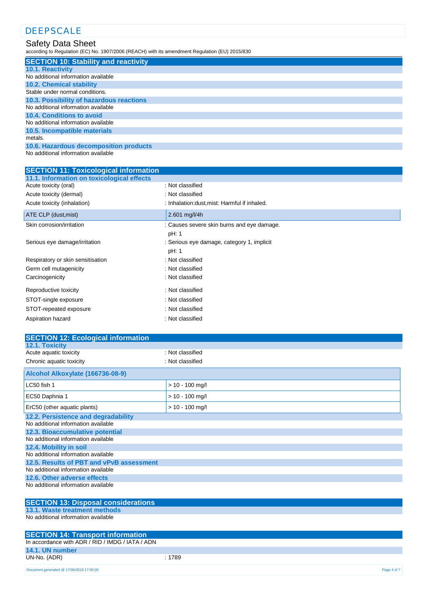### Safety Data Sheet

according to Regulation (EC) No. 1907/2006 (REACH) with its amendment Regulation (EU) 2015/830

| <b>SECTION 10: Stability and reactivity</b> |
|---------------------------------------------|
| <b>10.1. Reactivity</b>                     |
| No additional information available         |
| <b>10.2. Chemical stability</b>             |
| Stable under normal conditions.             |
| 10.3. Possibility of hazardous reactions    |
| No additional information available         |
| 10.4. Conditions to avoid                   |
| No additional information available         |
| 10.5. Incompatible materials                |
| metals.                                     |
| 10.6. Hazardous decomposition products      |
|                                             |

No additional information available

| <b>SECTION 11: Toxicological information</b> |                                               |
|----------------------------------------------|-----------------------------------------------|
| 11.1. Information on toxicological effects   |                                               |
| Acute toxicity (oral)                        | : Not classified                              |
| Acute toxicity (dermal)                      | : Not classified                              |
| Acute toxicity (inhalation)                  | : Inhalation: dust, mist: Harmful if inhaled. |
| ATE CLP (dust, mist)                         | $2.601$ mg/l/4h                               |
| Skin corrosion/irritation                    | : Causes severe skin burns and eye damage.    |
|                                              | pH: 1                                         |
| Serious eye damage/irritation                | : Serious eye damage, category 1, implicit    |
|                                              | pH: 1                                         |
| Respiratory or skin sensitisation            | : Not classified                              |
| Germ cell mutagenicity                       | : Not classified                              |
| Carcinogenicity                              | : Not classified                              |
| Reproductive toxicity                        | : Not classified                              |
| STOT-single exposure                         | : Not classified                              |
| STOT-repeated exposure                       | : Not classified                              |
| Aspiration hazard                            | : Not classified                              |

| <b>SECTION 12: Ecological information</b>                                  |                   |
|----------------------------------------------------------------------------|-------------------|
| 12.1. Toxicity                                                             |                   |
| Acute aquatic toxicity                                                     | : Not classified  |
| Chronic aquatic toxicity                                                   | : Not classified  |
| Alcohol Alkoxylate (166736-08-9)                                           |                   |
| LC50 fish 1                                                                | $> 10 - 100$ mg/l |
| EC50 Daphnia 1                                                             | $> 10 - 100$ mg/l |
| ErC50 (other aquatic plants)                                               | $> 10 - 100$ mg/l |
| 12.2. Persistence and degradability<br>No additional information available |                   |
| 12.3. Bioaccumulative potential<br>No additional information available     |                   |
|                                                                            |                   |
| 12.4. Mobility in soil<br>No additional information available              |                   |
| 12.5. Results of PBT and vPvB assessment                                   |                   |
| No additional information available                                        |                   |
| 12.6. Other adverse effects                                                |                   |
| No additional information available                                        |                   |
| <b>SECTION 13: Disposal considerations</b>                                 |                   |
| 13.1. Waste treatment methods                                              |                   |
| No additional information available                                        |                   |

| <b>SECTION 14: Transport information</b>         |        |  |
|--------------------------------------------------|--------|--|
| In accordance with ADR / RID / IMDG / IATA / ADN |        |  |
| 14.1. UN number                                  |        |  |
| UN-No. (ADR)                                     | : 1789 |  |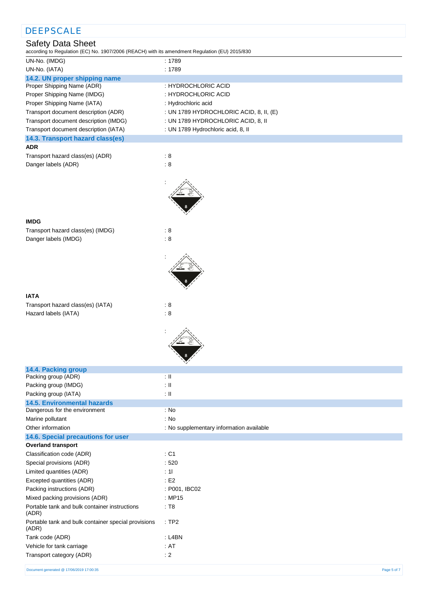| <b>DEEPSCALE</b>                                                                                                           |                                          |
|----------------------------------------------------------------------------------------------------------------------------|------------------------------------------|
| <b>Safety Data Sheet</b><br>according to Regulation (EC) No. 1907/2006 (REACH) with its amendment Regulation (EU) 2015/830 |                                          |
| UN-No. (IMDG)                                                                                                              | : 1789                                   |
| UN-No. (IATA)                                                                                                              | : 1789                                   |
| 14.2. UN proper shipping name                                                                                              |                                          |
| Proper Shipping Name (ADR)                                                                                                 | : HYDROCHLORIC ACID                      |
| Proper Shipping Name (IMDG)                                                                                                | : HYDROCHLORIC ACID                      |
| Proper Shipping Name (IATA)                                                                                                | : Hydrochloric acid                      |
| Transport document description (ADR)                                                                                       | : UN 1789 HYDROCHLORIC ACID, 8, II, (E)  |
| Transport document description (IMDG)                                                                                      | : UN 1789 HYDROCHLORIC ACID, 8, II       |
| Transport document description (IATA)                                                                                      | : UN 1789 Hydrochloric acid, 8, II       |
| 14.3. Transport hazard class(es)                                                                                           |                                          |
| <b>ADR</b>                                                                                                                 |                                          |
| Transport hazard class(es) (ADR)                                                                                           | $\therefore$ 8                           |
| Danger labels (ADR)                                                                                                        | $\therefore$ 8                           |
|                                                                                                                            |                                          |
| <b>IMDG</b>                                                                                                                |                                          |
| Transport hazard class(es) (IMDG)                                                                                          | $\therefore$ 8                           |
| Danger labels (IMDG)                                                                                                       | $\therefore 8$                           |
|                                                                                                                            |                                          |
| <b>IATA</b>                                                                                                                |                                          |
| Transport hazard class(es) (IATA)<br>Hazard labels (IATA)                                                                  | $\therefore$ 8<br>$\therefore$ 8         |
|                                                                                                                            |                                          |
| 14.4. Packing group<br>Packing group (ADR)                                                                                 | $\pm$ 11                                 |
| Packing group (IMDG)                                                                                                       | $\pm$ 11                                 |
| Packing group (IATA)                                                                                                       | $\pm$ 11                                 |
| <b>14.5. Environmental hazards</b>                                                                                         |                                          |
| Dangerous for the environment                                                                                              | : No                                     |
| Marine pollutant                                                                                                           | : No                                     |
| Other information                                                                                                          | : No supplementary information available |
| 14.6. Special precautions for user                                                                                         |                                          |
| <b>Overland transport</b>                                                                                                  |                                          |
| Classification code (ADR)                                                                                                  | : C1                                     |
| Special provisions (ADR)                                                                                                   | .520                                     |
| Limited quantities (ADR)                                                                                                   | : 11                                     |
| Excepted quantities (ADR)                                                                                                  | E2                                       |
| Packing instructions (ADR)                                                                                                 | : P001, IBC02                            |
| Mixed packing provisions (ADR)                                                                                             | : MP15                                   |
| Portable tank and bulk container instructions<br>(ADR)                                                                     | : T8                                     |
| Portable tank and bulk container special provisions<br>(ADR)                                                               | :TP2                                     |
| Tank code (ADR)                                                                                                            | : L4BN                                   |
| Vehicle for tank carriage                                                                                                  | : AT                                     |
| Transport category (ADR)                                                                                                   | $\div 2$                                 |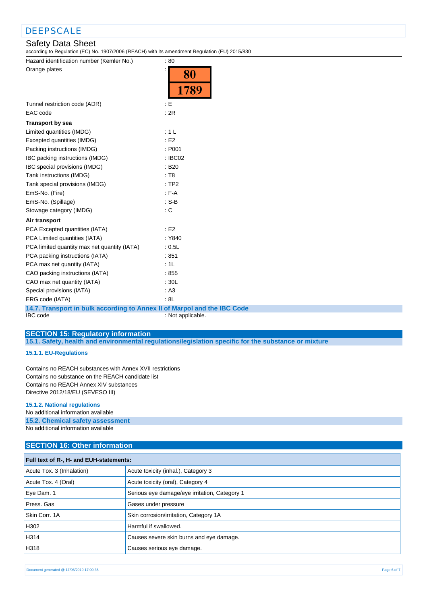### Safety Data Sheet

according to Regulation (EC) No. 1907/2006 (REACH) with its amendment Regulation (EU) 2015/830

Hazard identification number (Kemler No.) : 80 Orange plates in the set of the set of the set of the set of the set of the set of the set of the set of the set of the set of the set of the set of the set of the set of the set of the set of the set of the set of the set

|                                                                          | OU                |
|--------------------------------------------------------------------------|-------------------|
|                                                                          | 1789              |
| Tunnel restriction code (ADR)                                            | E                 |
| EAC code                                                                 | : 2R              |
|                                                                          |                   |
| <b>Transport by sea</b>                                                  |                   |
| Limited quantities (IMDG)                                                | : 1 L             |
| Excepted quantities (IMDG)                                               | E2                |
| Packing instructions (IMDG)                                              | : P001            |
| IBC packing instructions (IMDG)                                          | : IBC02           |
| IBC special provisions (IMDG)                                            | : B20             |
| Tank instructions (IMDG)                                                 | : T8              |
| Tank special provisions (IMDG)                                           | :TP2              |
| EmS-No. (Fire)                                                           | $F-A$             |
| EmS-No. (Spillage)                                                       | $: S-B$           |
| Stowage category (IMDG)                                                  | : C               |
| Air transport                                                            |                   |
| PCA Excepted quantities (IATA)                                           | E2                |
| PCA Limited quantities (IATA)                                            | : Y840            |
| PCA limited quantity max net quantity (IATA)                             | : 0.5L            |
| PCA packing instructions (IATA)                                          | :851              |
| PCA max net quantity (IATA)                                              | : 1L              |
| CAO packing instructions (IATA)                                          | :855              |
| CAO max net quantity (IATA)                                              | : 30L             |
| Special provisions (IATA)                                                | : A3              |
| ERG code (IATA)                                                          | : 8L              |
| 14.7. Transport in bulk according to Annex II of Marpol and the IBC Code |                   |
| <b>IBC</b> code                                                          | : Not applicable. |

 $\overline{\Omega}$ 

T,

**SECTION 15: Regulatory information**

**15.1. Safety, health and environmental regulations/legislation specific for the substance or mixture**

#### **15.1.1. EU-Regulations**

Contains no REACH substances with Annex XVII restrictions Contains no substance on the REACH candidate list Contains no REACH Annex XIV substances Directive 2012/18/EU (SEVESO III)

#### **15.1.2. National regulations**

No additional information available

### **15.2. Chemical safety assessment**

No additional information available

#### **SECTION 16: Other information**

| Full text of R-, H- and EUH-statements: |                                               |  |
|-----------------------------------------|-----------------------------------------------|--|
| Acute Tox. 3 (Inhalation)               | Acute toxicity (inhal.), Category 3           |  |
| Acute Tox. 4 (Oral)                     | Acute toxicity (oral), Category 4             |  |
| Eye Dam. 1                              | Serious eye damage/eye irritation, Category 1 |  |
| Press. Gas                              | Gases under pressure                          |  |
| Skin Corr. 1A                           | Skin corrosion/irritation, Category 1A        |  |
| H302                                    | Harmful if swallowed.                         |  |
| H314                                    | Causes severe skin burns and eye damage.      |  |
| H318                                    | Causes serious eye damage.                    |  |